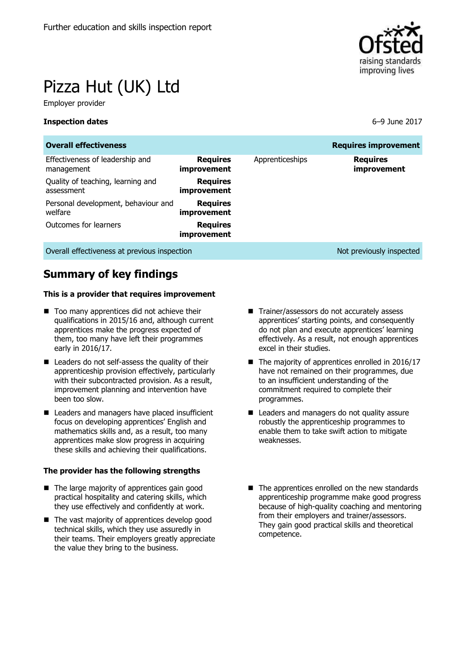

# Pizza Hut (UK) Ltd

Employer provider

#### **Inspection dates** 6–9 June 2017

| <b>Overall effectiveness</b>                    |                                       |                 | <b>Requires improvement</b>    |
|-------------------------------------------------|---------------------------------------|-----------------|--------------------------------|
| Effectiveness of leadership and<br>management   | <b>Requires</b><br><i>improvement</i> | Apprenticeships | <b>Requires</b><br>improvement |
| Quality of teaching, learning and<br>assessment | <b>Requires</b><br>improvement        |                 |                                |
| Personal development, behaviour and<br>welfare  | <b>Requires</b><br>improvement        |                 |                                |
| Outcomes for learners                           | <b>Requires</b><br>improvement        |                 |                                |
| Overall effectiveness at previous inspection    |                                       |                 | Not previously inspected       |

# **Summary of key findings**

#### **This is a provider that requires improvement**

- Too many apprentices did not achieve their qualifications in 2015/16 and, although current apprentices make the progress expected of them, too many have left their programmes early in 2016/17.
- Leaders do not self-assess the quality of their apprenticeship provision effectively, particularly with their subcontracted provision. As a result, improvement planning and intervention have been too slow.
- Leaders and managers have placed insufficient focus on developing apprentices' English and mathematics skills and, as a result, too many apprentices make slow progress in acquiring these skills and achieving their qualifications.

#### **The provider has the following strengths**

- The large majority of apprentices gain good practical hospitality and catering skills, which they use effectively and confidently at work.
- $\blacksquare$  The vast majority of apprentices develop good technical skills, which they use assuredly in their teams. Their employers greatly appreciate the value they bring to the business.
- Trainer/assessors do not accurately assess apprentices' starting points, and consequently do not plan and execute apprentices' learning effectively. As a result, not enough apprentices excel in their studies.
- The majority of apprentices enrolled in 2016/17 have not remained on their programmes, due to an insufficient understanding of the commitment required to complete their programmes.
- Leaders and managers do not quality assure robustly the apprenticeship programmes to enable them to take swift action to mitigate weaknesses.
- The apprentices enrolled on the new standards apprenticeship programme make good progress because of high-quality coaching and mentoring from their employers and trainer/assessors. They gain good practical skills and theoretical competence.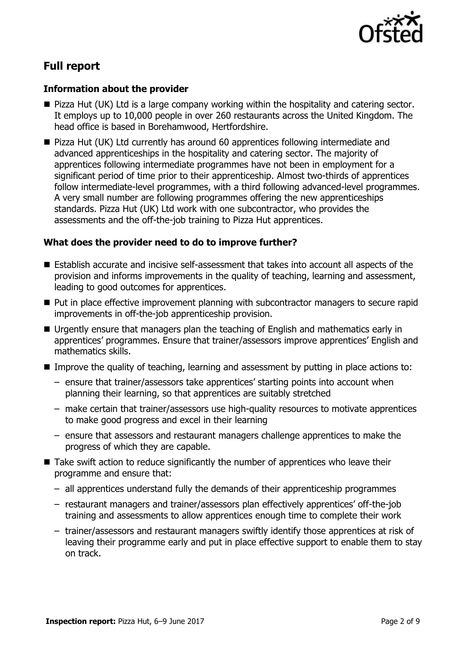

# **Full report**

### **Information about the provider**

- Pizza Hut (UK) Ltd is a large company working within the hospitality and catering sector. It employs up to 10,000 people in over 260 restaurants across the United Kingdom. The head office is based in Borehamwood, Hertfordshire.
- Pizza Hut (UK) Ltd currently has around 60 apprentices following intermediate and advanced apprenticeships in the hospitality and catering sector. The majority of apprentices following intermediate programmes have not been in employment for a significant period of time prior to their apprenticeship. Almost two-thirds of apprentices follow intermediate-level programmes, with a third following advanced-level programmes. A very small number are following programmes offering the new apprenticeships standards. Pizza Hut (UK) Ltd work with one subcontractor, who provides the assessments and the off-the-job training to Pizza Hut apprentices.

### **What does the provider need to do to improve further?**

- Establish accurate and incisive self-assessment that takes into account all aspects of the provision and informs improvements in the quality of teaching, learning and assessment, leading to good outcomes for apprentices.
- Put in place effective improvement planning with subcontractor managers to secure rapid improvements in off-the-job apprenticeship provision.
- Urgently ensure that managers plan the teaching of English and mathematics early in apprentices' programmes. Ensure that trainer/assessors improve apprentices' English and mathematics skills.
- Improve the quality of teaching, learning and assessment by putting in place actions to:
	- ensure that trainer/assessors take apprentices' starting points into account when planning their learning, so that apprentices are suitably stretched
	- make certain that trainer/assessors use high-quality resources to motivate apprentices to make good progress and excel in their learning
	- ensure that assessors and restaurant managers challenge apprentices to make the progress of which they are capable.
- Take swift action to reduce significantly the number of apprentices who leave their programme and ensure that:
	- all apprentices understand fully the demands of their apprenticeship programmes
	- restaurant managers and trainer/assessors plan effectively apprentices' off-the-job training and assessments to allow apprentices enough time to complete their work
	- trainer/assessors and restaurant managers swiftly identify those apprentices at risk of leaving their programme early and put in place effective support to enable them to stay on track.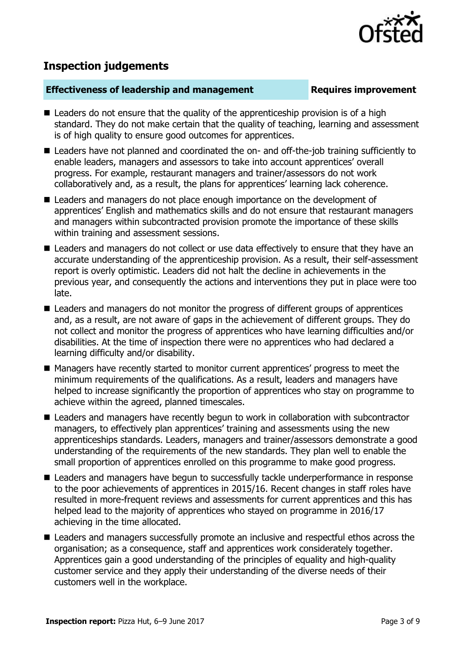

# **Inspection judgements**

#### **Effectiveness of leadership and management Requires improvement**

- $\blacksquare$  Leaders do not ensure that the quality of the apprenticeship provision is of a high standard. They do not make certain that the quality of teaching, learning and assessment is of high quality to ensure good outcomes for apprentices.
- Leaders have not planned and coordinated the on- and off-the-job training sufficiently to enable leaders, managers and assessors to take into account apprentices' overall progress. For example, restaurant managers and trainer/assessors do not work collaboratively and, as a result, the plans for apprentices' learning lack coherence.
- Leaders and managers do not place enough importance on the development of apprentices' English and mathematics skills and do not ensure that restaurant managers and managers within subcontracted provision promote the importance of these skills within training and assessment sessions.
- Leaders and managers do not collect or use data effectively to ensure that they have an accurate understanding of the apprenticeship provision. As a result, their self-assessment report is overly optimistic. Leaders did not halt the decline in achievements in the previous year, and consequently the actions and interventions they put in place were too late.
- Leaders and managers do not monitor the progress of different groups of apprentices and, as a result, are not aware of gaps in the achievement of different groups. They do not collect and monitor the progress of apprentices who have learning difficulties and/or disabilities. At the time of inspection there were no apprentices who had declared a learning difficulty and/or disability.
- Managers have recently started to monitor current apprentices' progress to meet the minimum requirements of the qualifications. As a result, leaders and managers have helped to increase significantly the proportion of apprentices who stay on programme to achieve within the agreed, planned timescales.
- Leaders and managers have recently begun to work in collaboration with subcontractor managers, to effectively plan apprentices' training and assessments using the new apprenticeships standards. Leaders, managers and trainer/assessors demonstrate a good understanding of the requirements of the new standards. They plan well to enable the small proportion of apprentices enrolled on this programme to make good progress.
- Leaders and managers have begun to successfully tackle underperformance in response to the poor achievements of apprentices in 2015/16. Recent changes in staff roles have resulted in more-frequent reviews and assessments for current apprentices and this has helped lead to the majority of apprentices who stayed on programme in 2016/17 achieving in the time allocated.
- Leaders and managers successfully promote an inclusive and respectful ethos across the organisation; as a consequence, staff and apprentices work considerately together. Apprentices gain a good understanding of the principles of equality and high-quality customer service and they apply their understanding of the diverse needs of their customers well in the workplace.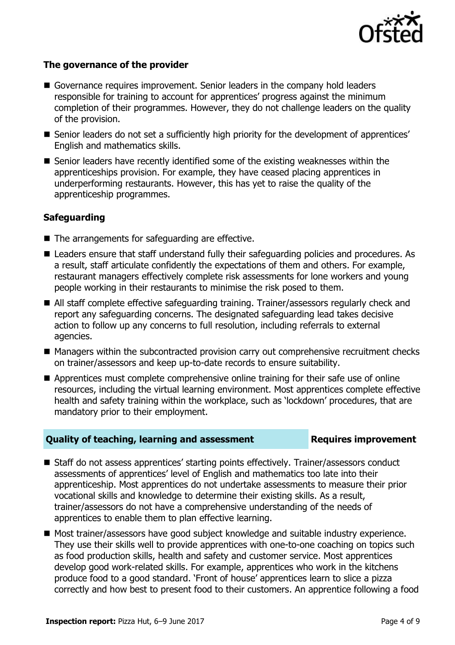

#### **The governance of the provider**

- Governance requires improvement. Senior leaders in the company hold leaders responsible for training to account for apprentices' progress against the minimum completion of their programmes. However, they do not challenge leaders on the quality of the provision.
- Senior leaders do not set a sufficiently high priority for the development of apprentices' English and mathematics skills.
- Senior leaders have recently identified some of the existing weaknesses within the apprenticeships provision. For example, they have ceased placing apprentices in underperforming restaurants. However, this has yet to raise the quality of the apprenticeship programmes.

### **Safeguarding**

- $\blacksquare$  The arrangements for safeguarding are effective.
- Leaders ensure that staff understand fully their safeguarding policies and procedures. As a result, staff articulate confidently the expectations of them and others. For example, restaurant managers effectively complete risk assessments for lone workers and young people working in their restaurants to minimise the risk posed to them.
- All staff complete effective safeguarding training. Trainer/assessors regularly check and report any safeguarding concerns. The designated safeguarding lead takes decisive action to follow up any concerns to full resolution, including referrals to external agencies.
- Managers within the subcontracted provision carry out comprehensive recruitment checks on trainer/assessors and keep up-to-date records to ensure suitability.
- Apprentices must complete comprehensive online training for their safe use of online resources, including the virtual learning environment. Most apprentices complete effective health and safety training within the workplace, such as 'lockdown' procedures, that are mandatory prior to their employment.

#### **Quality of teaching, learning and assessment Requires improvement**

- Staff do not assess apprentices' starting points effectively. Trainer/assessors conduct assessments of apprentices' level of English and mathematics too late into their apprenticeship. Most apprentices do not undertake assessments to measure their prior vocational skills and knowledge to determine their existing skills. As a result, trainer/assessors do not have a comprehensive understanding of the needs of apprentices to enable them to plan effective learning.
- Most trainer/assessors have good subject knowledge and suitable industry experience. They use their skills well to provide apprentices with one-to-one coaching on topics such as food production skills, health and safety and customer service. Most apprentices develop good work-related skills. For example, apprentices who work in the kitchens produce food to a good standard. 'Front of house' apprentices learn to slice a pizza correctly and how best to present food to their customers. An apprentice following a food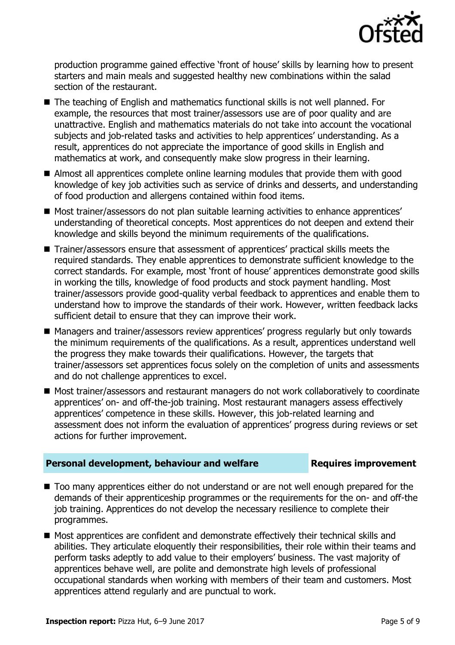

production programme gained effective 'front of house' skills by learning how to present starters and main meals and suggested healthy new combinations within the salad section of the restaurant.

- The teaching of English and mathematics functional skills is not well planned. For example, the resources that most trainer/assessors use are of poor quality and are unattractive. English and mathematics materials do not take into account the vocational subjects and job-related tasks and activities to help apprentices' understanding. As a result, apprentices do not appreciate the importance of good skills in English and mathematics at work, and consequently make slow progress in their learning.
- Almost all apprentices complete online learning modules that provide them with good knowledge of key job activities such as service of drinks and desserts, and understanding of food production and allergens contained within food items.
- Most trainer/assessors do not plan suitable learning activities to enhance apprentices' understanding of theoretical concepts. Most apprentices do not deepen and extend their knowledge and skills beyond the minimum requirements of the qualifications.
- Trainer/assessors ensure that assessment of apprentices' practical skills meets the required standards. They enable apprentices to demonstrate sufficient knowledge to the correct standards. For example, most 'front of house' apprentices demonstrate good skills in working the tills, knowledge of food products and stock payment handling. Most trainer/assessors provide good-quality verbal feedback to apprentices and enable them to understand how to improve the standards of their work. However, written feedback lacks sufficient detail to ensure that they can improve their work.
- Managers and trainer/assessors review apprentices' progress regularly but only towards the minimum requirements of the qualifications. As a result, apprentices understand well the progress they make towards their qualifications. However, the targets that trainer/assessors set apprentices focus solely on the completion of units and assessments and do not challenge apprentices to excel.
- Most trainer/assessors and restaurant managers do not work collaboratively to coordinate apprentices' on- and off-the-job training. Most restaurant managers assess effectively apprentices' competence in these skills. However, this job-related learning and assessment does not inform the evaluation of apprentices' progress during reviews or set actions for further improvement.

### **Personal development, behaviour and welfare <b>Requires improvement**

- Too many apprentices either do not understand or are not well enough prepared for the demands of their apprenticeship programmes or the requirements for the on- and off-the job training. Apprentices do not develop the necessary resilience to complete their programmes.
- Most apprentices are confident and demonstrate effectively their technical skills and abilities. They articulate eloquently their responsibilities, their role within their teams and perform tasks adeptly to add value to their employers' business. The vast majority of apprentices behave well, are polite and demonstrate high levels of professional occupational standards when working with members of their team and customers. Most apprentices attend regularly and are punctual to work.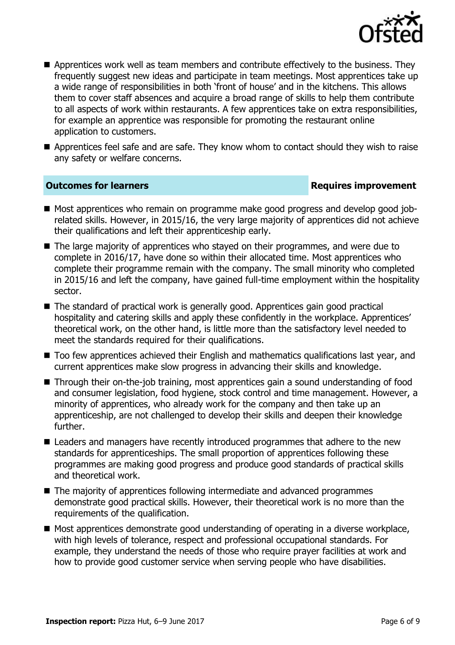

- **A** Apprentices work well as team members and contribute effectively to the business. They frequently suggest new ideas and participate in team meetings. Most apprentices take up a wide range of responsibilities in both 'front of house' and in the kitchens. This allows them to cover staff absences and acquire a broad range of skills to help them contribute to all aspects of work within restaurants. A few apprentices take on extra responsibilities, for example an apprentice was responsible for promoting the restaurant online application to customers.
- Apprentices feel safe and are safe. They know whom to contact should they wish to raise any safety or welfare concerns.

#### **Outcomes for learners Requires improvement**

- Most apprentices who remain on programme make good progress and develop good jobrelated skills. However, in 2015/16, the very large majority of apprentices did not achieve their qualifications and left their apprenticeship early.
- The large majority of apprentices who stayed on their programmes, and were due to complete in 2016/17, have done so within their allocated time. Most apprentices who complete their programme remain with the company. The small minority who completed in 2015/16 and left the company, have gained full-time employment within the hospitality sector.
- The standard of practical work is generally good. Apprentices gain good practical hospitality and catering skills and apply these confidently in the workplace. Apprentices' theoretical work, on the other hand, is little more than the satisfactory level needed to meet the standards required for their qualifications.
- Too few apprentices achieved their English and mathematics qualifications last year, and current apprentices make slow progress in advancing their skills and knowledge.
- Through their on-the-job training, most apprentices gain a sound understanding of food and consumer legislation, food hygiene, stock control and time management. However, a minority of apprentices, who already work for the company and then take up an apprenticeship, are not challenged to develop their skills and deepen their knowledge further.
- Leaders and managers have recently introduced programmes that adhere to the new standards for apprenticeships. The small proportion of apprentices following these programmes are making good progress and produce good standards of practical skills and theoretical work.
- The majority of apprentices following intermediate and advanced programmes demonstrate good practical skills. However, their theoretical work is no more than the requirements of the qualification.
- Most apprentices demonstrate good understanding of operating in a diverse workplace, with high levels of tolerance, respect and professional occupational standards. For example, they understand the needs of those who require prayer facilities at work and how to provide good customer service when serving people who have disabilities.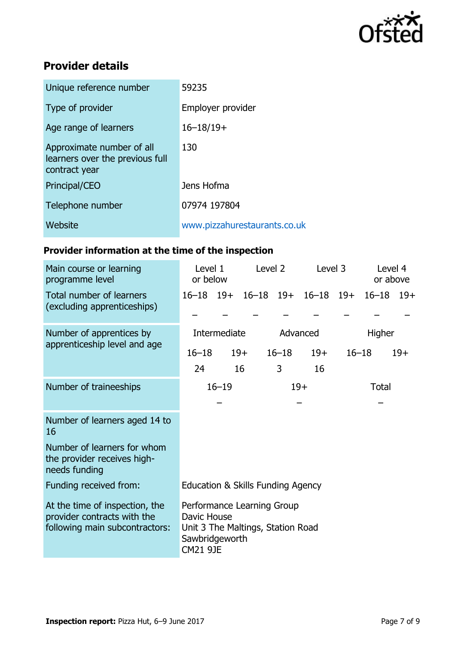

# **Provider details**

| Unique reference number                                                       | 59235                        |
|-------------------------------------------------------------------------------|------------------------------|
| Type of provider                                                              | Employer provider            |
| Age range of learners                                                         | $16 - 18/19 +$               |
| Approximate number of all<br>learners over the previous full<br>contract year | 130                          |
| Principal/CEO                                                                 | Jens Hofma                   |
| Telephone number                                                              | 07974 197804                 |
| Website                                                                       | www.pizzahurestaurants.co.uk |

# **Provider information at the time of the inspection**

| Main course or learning<br>programme level                                                      | Level 2<br>Level 1<br>or below                                                                                      |  |             | Level 3        |                                     | Level 4<br>or above |  |       |
|-------------------------------------------------------------------------------------------------|---------------------------------------------------------------------------------------------------------------------|--|-------------|----------------|-------------------------------------|---------------------|--|-------|
| Total number of learners<br>(excluding apprenticeships)                                         |                                                                                                                     |  |             |                | 16-18 19+ 16-18 19+ 16-18 19+ 16-18 |                     |  | $19+$ |
| Number of apprentices by<br>apprenticeship level and age                                        | Intermediate                                                                                                        |  | Advanced    |                | Higher                              |                     |  |       |
|                                                                                                 | $16 - 18$<br>24                                                                                                     |  | $19+$<br>16 | $16 - 18$<br>3 | $19+$<br>16                         | $16 - 18$           |  | $19+$ |
| Number of traineeships                                                                          | $16 - 19$<br>$19+$                                                                                                  |  |             |                | Total                               |                     |  |       |
| Number of learners aged 14 to<br>16                                                             |                                                                                                                     |  |             |                |                                     |                     |  |       |
| Number of learners for whom<br>the provider receives high-<br>needs funding                     |                                                                                                                     |  |             |                |                                     |                     |  |       |
| Funding received from:                                                                          | Education & Skills Funding Agency                                                                                   |  |             |                |                                     |                     |  |       |
| At the time of inspection, the<br>provider contracts with the<br>following main subcontractors: | Performance Learning Group<br>Davic House<br>Unit 3 The Maltings, Station Road<br>Sawbridgeworth<br><b>CM21 9JE</b> |  |             |                |                                     |                     |  |       |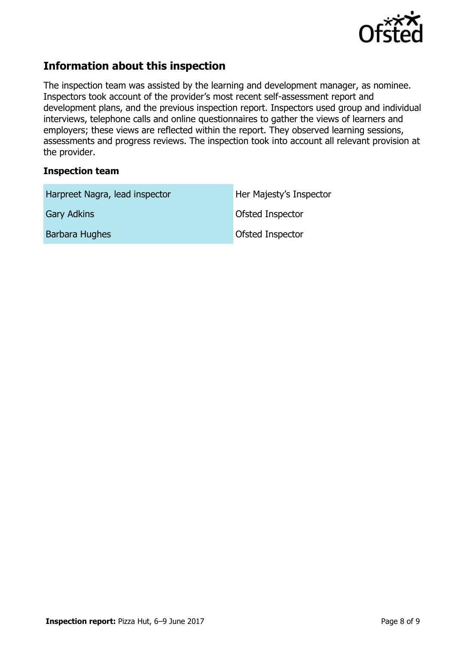

# **Information about this inspection**

The inspection team was assisted by the learning and development manager, as nominee. Inspectors took account of the provider's most recent self-assessment report and development plans, and the previous inspection report. Inspectors used group and individual interviews, telephone calls and online questionnaires to gather the views of learners and employers; these views are reflected within the report. They observed learning sessions, assessments and progress reviews. The inspection took into account all relevant provision at the provider.

#### **Inspection team**

| Harpreet Nagra, lead inspector | Her Majesty's Inspector |  |  |  |
|--------------------------------|-------------------------|--|--|--|
| <b>Gary Adkins</b>             | Ofsted Inspector        |  |  |  |
| Barbara Hughes                 | <b>Ofsted Inspector</b> |  |  |  |